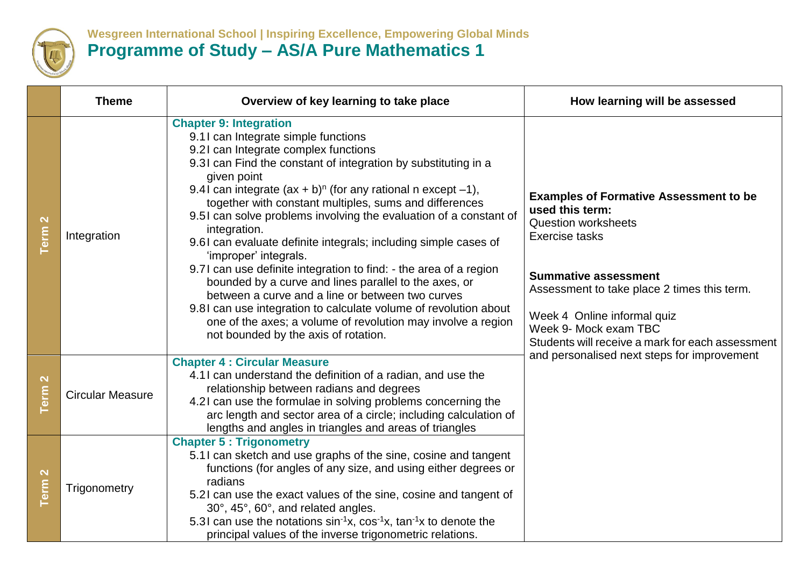

## **Wesgreen International School | Inspiring Excellence, Empowering Global Minds Programme of Study – AS/A Pure Mathematics 1**

|                                                     | <b>Theme</b>            | Overview of key learning to take place                                                                                                                                                                                                                                                                                                                                                                                                                                                                                                                                                                                                                                                                                                                                                                                                                                    | How learning will be assessed                                                                                                                                                                                                                                                                                     |
|-----------------------------------------------------|-------------------------|---------------------------------------------------------------------------------------------------------------------------------------------------------------------------------------------------------------------------------------------------------------------------------------------------------------------------------------------------------------------------------------------------------------------------------------------------------------------------------------------------------------------------------------------------------------------------------------------------------------------------------------------------------------------------------------------------------------------------------------------------------------------------------------------------------------------------------------------------------------------------|-------------------------------------------------------------------------------------------------------------------------------------------------------------------------------------------------------------------------------------------------------------------------------------------------------------------|
| $\mathbf{\Omega}$<br><b>Term</b>                    | Integration             | <b>Chapter 9: Integration</b><br>9.11 can Integrate simple functions<br>9.21 can Integrate complex functions<br>9.31 can Find the constant of integration by substituting in a<br>given point<br>9.41 can integrate $(ax + b)^n$ (for any rational n except -1),<br>together with constant multiples, sums and differences<br>9.51 can solve problems involving the evaluation of a constant of<br>integration.<br>9.61 can evaluate definite integrals; including simple cases of<br>'improper' integrals.<br>9.71 can use definite integration to find: - the area of a region<br>bounded by a curve and lines parallel to the axes, or<br>between a curve and a line or between two curves<br>9.81 can use integration to calculate volume of revolution about<br>one of the axes; a volume of revolution may involve a region<br>not bounded by the axis of rotation. | <b>Examples of Formative Assessment to be</b><br>used this term:<br><b>Question worksheets</b><br><b>Exercise tasks</b><br><b>Summative assessment</b><br>Assessment to take place 2 times this term.<br>Week 4 Online informal quiz<br>Week 9- Mock exam TBC<br>Students will receive a mark for each assessment |
| $\boldsymbol{\mathsf{N}}$<br>$\overline{\text{em}}$ | <b>Circular Measure</b> | <b>Chapter 4 : Circular Measure</b><br>4.11 can understand the definition of a radian, and use the<br>relationship between radians and degrees<br>4.21 can use the formulae in solving problems concerning the<br>arc length and sector area of a circle; including calculation of<br>lengths and angles in triangles and areas of triangles                                                                                                                                                                                                                                                                                                                                                                                                                                                                                                                              | and personalised next steps for improvement                                                                                                                                                                                                                                                                       |
| $\mathbf{\Omega}$<br><b>Term</b>                    | Trigonometry            | <b>Chapter 5: Trigonometry</b><br>5.11 can sketch and use graphs of the sine, cosine and tangent<br>functions (for angles of any size, and using either degrees or<br>radians<br>5.21 can use the exact values of the sine, cosine and tangent of<br>30°, 45°, 60°, and related angles.<br>5.31 can use the notations $sin^{-1}x$ , $cos^{-1}x$ , $tan^{-1}x$ to denote the<br>principal values of the inverse trigonometric relations.                                                                                                                                                                                                                                                                                                                                                                                                                                   |                                                                                                                                                                                                                                                                                                                   |